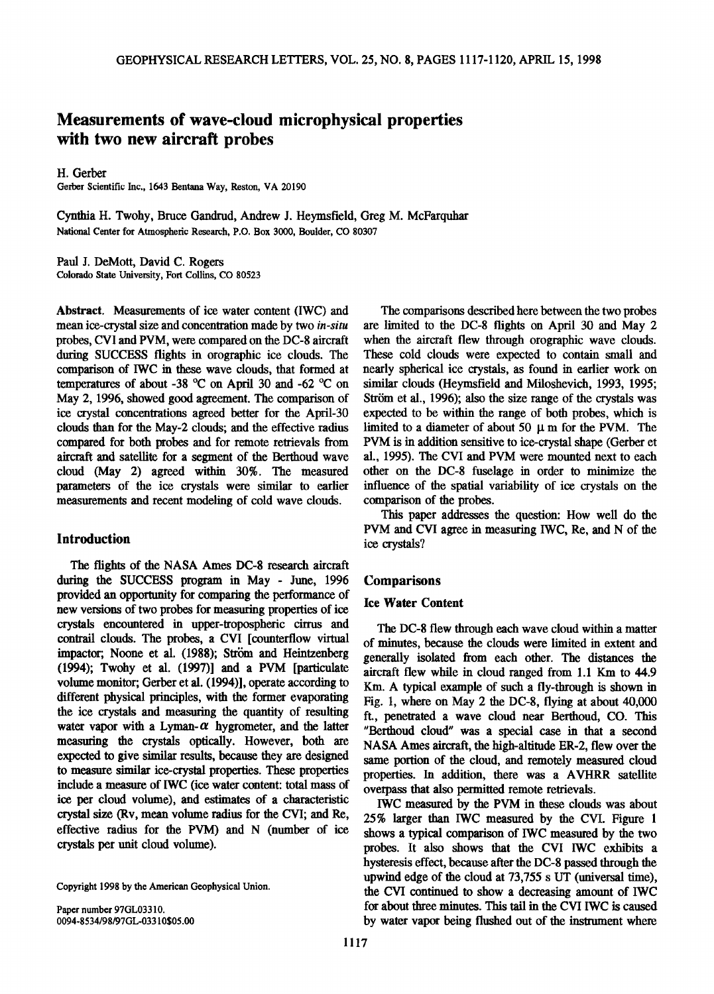# **Measurements of wave-cloud microphysical properties with two new aircraft probes**

**H. Gerber** 

**Gerber Scientific Inc., 1643 Bentana Way, Reston, VA 20190** 

**Cynthia H. Twohy, Bruce Gandrud, Andrew J. Heymsfield, Greg M. McFarquhar National Center for Atmospheric Research, P.O. Box 3000, Boulder, CO 80307** 

**Paul J. DeMott, David C. Rogers Colorado State University, Fort Collins, CO 80523** 

**Abstract. Measurements of ice water content (IWC) and mean ice-crystal size and concentration made by two in-situ probes, CVI and PVM, were compared on the DC-8 aircraft during SUCCESS flights in orographic ice clouds. The comparison of 1WC in these wave clouds, that formed at**  temperatures of about -38 °C on April 30 and -62 °C on **May 2, 1996, showed good agreement. The comparison of ice crystal concentrations agreed better for the April-30 clouds than for the May-2 clouds; and the effective radius compared for both probes and for remote retrievals from aircraft and satellite for a segment of the Berthoud wave cloud (May 2) agreed within 30%. The measured parameters of the ice crystals were similar to earlier measurements and recent modeling of cold wave clouds.** 

# **Introduction**

**The flights of the NASA Ames DC-8 research aircraft during the SUCCESS program in May - June, 1996 provided an opportunity for comparing the performance of new versions of two probes for measuring properties of ice crystals encountered in upper-tropospheric cirrus and contrail clouds. The probes, a CVI [counterflow virtual**  impactor; Noone et al. (1988); Ström and Heintzenberg **(1994); Twohy et al. (1997)] and a PVM [particulate volume monitor; Gerber et al. (1994)], operate according to different physical principles, with the former evaporating the ice crystals and measuring the quantity of resulting**  water vapor with a Lyman- $\alpha$  hygrometer, and the latter **measuring the crystals optically. However, both are expected to give similar results, because they are designed to measure similar ice-crystal properties. These properties include a measure of IWC (ice water content: total mass of ice per cloud volume), and estimates of a characteristic crystal size (Rv, mean volume radius for the CVI; and Re, effective radius for the PVM) and N (number of ice crystals per unit cloud volume).** 

**Copyright 1998 by the American Geophysical Union.** 

**Paper number 97GL03310. 0094-8534/98/97GL-03310505.00** 

**The comparisons described here between the two probes are limited to the DC-8 flights on April 30 and May 2 when the aircraft flew through orographic wave clouds. These cold clouds were expected to contain small and nearly spherical ice crystals, as found in earlier work on similar clouds (Heymsfield and Miloshevich, 1993, 1995;**  Ström et al., 1996); also the size range of the crystals was **expected to be within the range of both probes, which is**  limited to a diameter of about 50  $\mu$  m for the PVM. The **PVM is in addition sensitive to ice-crystal shape (Gerber et al., 1995). The CVI and PVM were mounted next to each other on the DC-8 fuselage in order to minimize the influence of the spatial variability of ice crystals on the comparison of the probes.** 

**This paper addresses the question: How well do the PVM and CVI agree in measuring IWC, Re, and N of the ice crystals?** 

# **Comparisons**

## **Ice Water Content**

**The DC-8 flew through each wave cloud within a matter of minutes, because the clouds were limited in extent and generally isolated from each other. The distances the aircraft flew while in cloud ranged from 1.1 Km to 44.9 Km. A typical example of such a fly-through is shown in Fig. 1, where on May 2 the DC-8, flying at about 40,000 ft., penetrated a wave cloud near Berthoud, CO. This "Berthoud cloud" was a special case in that a second NASA Ames aircraft, the high-altitude ER-2, flew over the same portion of the cloud, and remotely measured cloud properties. In addition, there was a AVHRR satellite overpass that also permitted remote retrievals.** 

**IWC measured by the PVM in these clouds was about 25% larger than IWC measured by the CVI. Figure 1 shows a typical comparison of IWC measured by the two probes. It also shows that the CVI IWC exhibits a hysteresis effect, because after the DC-8 passed through the**  upwind edge of the cloud at 73,755 s UT (universal time), the CVI continued to show a decreasing amount of IWC **for about three minutes. This tail in the CVI IWC is caused**  by water vapor being flushed out of the instrument where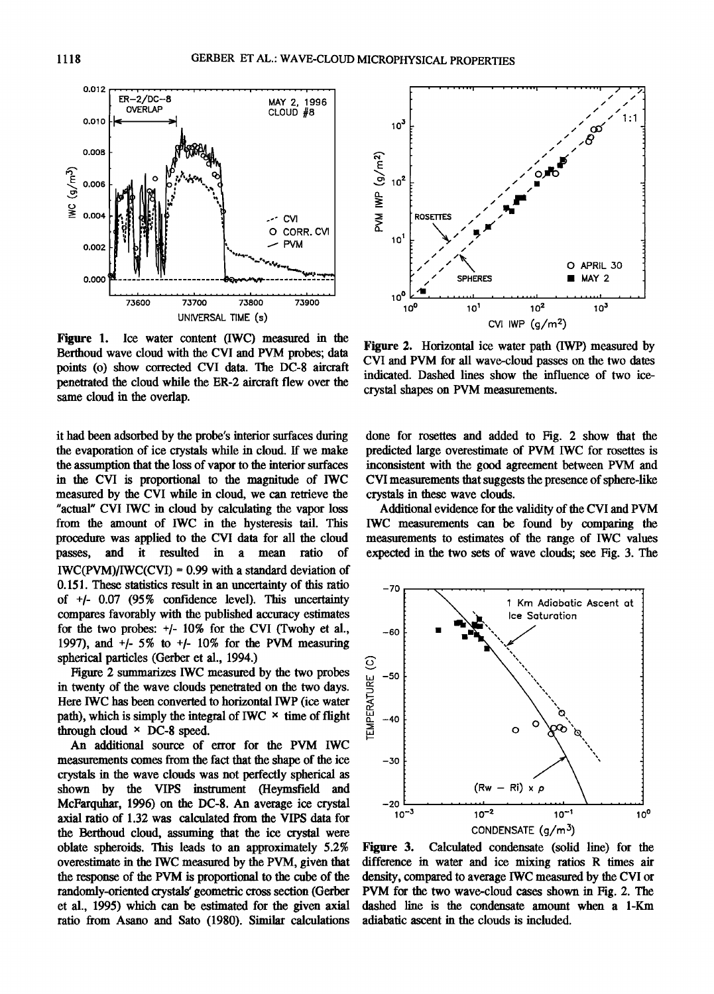

Figure 1. Ice water content (IWC) measured in the Berthoud wave cloud with the CVI and PVM probes; data points (o) show corrected CVI data. The DC-8 aircraft penetrated the cloud while the ER-2 aircraft flew over the same cloud in the overlap.

it had been adsorbed by the probe's interior surfaces during the evaporation of ice crystals while in cloud. If we make the assumption that the loss of vapor to the interior surfaces in the CVI is proportional to the magnitude of IWC measured by the CVI while in cloud, we can retrieve the "actual" CVI IWC in cloud by calculating the vapor loss from the amount of IWC in the hysteresis tail. This procedure was applied to the CVI data for all the cloud passes, and it resulted in a mean ratio of  $IWC(PVM)/IWC(CVI) = 0.99$  with a standard deviation of 0.151. These statistics result in an uncertainty of this ratio of  $+/-$  0.07 (95% confidence level). This uncertainty compares favorably with the published accuracy estimates for the two probes:  $+/- 10\%$  for the CVI (Twohy et al., 1997), and  $+/-$  5% to  $+/-$  10% for the PVM measuring spherical particles (Gerber et al., 1994.)

Figure 2 summarizes IWC measured by the two probes in twenty of the wave clouds penetrated on the two days. Here IWC has been converted to horizontal IWP (ice water path), which is simply the integral of IWC  $\times$  time of flight through cloud  $\times$  DC-8 speed.

An additional source of error for the PVM IWC measurements comes from the fact that the shape of the ice crystals in the wave clouds was not perfectly spherical as shown by the VIPS instrument (Heymsfield and McFarquhar, 1996) on the DC-8. An average ice crystal axial ratio of 1.32 was calculated from the VIPS data for the Berthoud cloud, assuming that the ice crystal were oblate spheroids. This leads to an approximately 5.2% overestimate in the IWC measured by the PVM, given that the response of the PVM is proportional to the cube of the randomly-oriented crystals' geometric cross section (Gerber et al., 1995) which can be estimated for the given axial ratio from Asano and Sato (1980). Similar calculations



Figure 2. Horizontal ice water path (IWP) measured by CVI and PVM for all wave-cloud passes on the two dates indicated. Dashed lines show the influence of two icecrystal shapes on PVM measurements.

done for rosettes and added to Fig. 2 show that the predicted large overestimate of PVM IWC for rosettes is inconsistent with the good agreement between PVM and CVI measurements that suggests the presence of sphere-like crystals in these wave clouds.

Additional evidence for the validity of the CVI and PVM IWC measurements can be found by comparing the measurements to estimates of the range of IWC values expected in the two sets of wave clouds; see Fig. 3. The



Calculated condensate (solid line) for the Figure 3. difference in water and ice mixing ratios R times air density, compared to average IWC measured by the CVI or PVM for the two wave-cloud cases shown in Fig. 2. The dashed line is the condensate amount when a 1-Km adiabatic ascent in the clouds is included.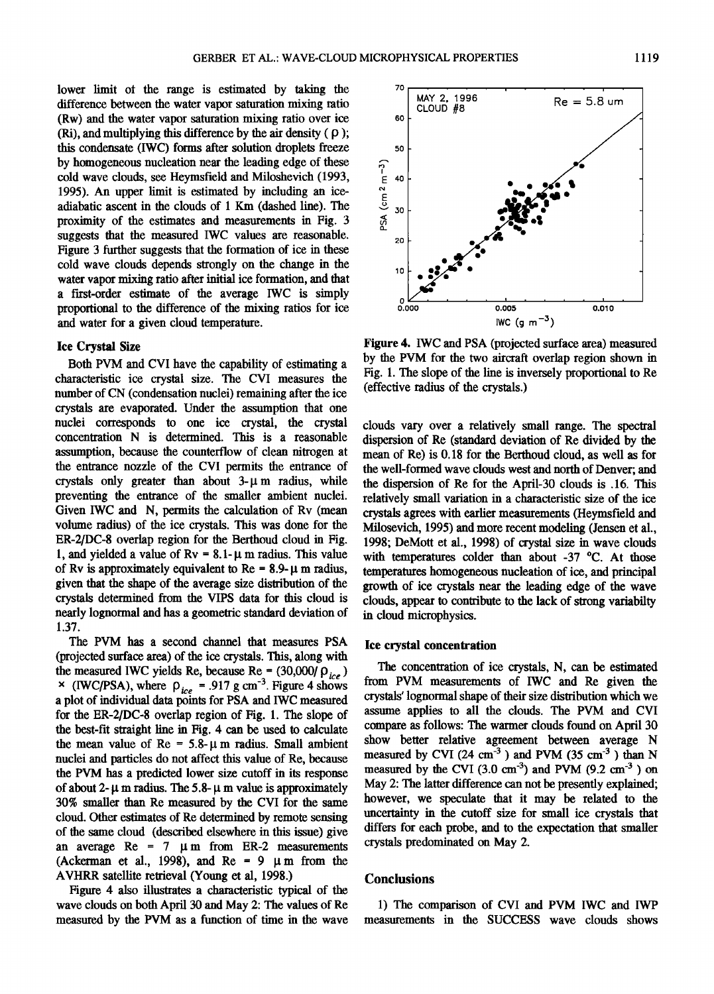lower limit of the range is estimated by taking the **difference between the water vapor saturation mixing ratio (Rw) and the water vapor saturation mixing ratio over ice**   $(Ri)$ , and multiplying this difference by the air density  $(\rho)$ ; **this condensate (IWC) forms after solution droplets freeze**  by homogeneous nucleation near the leading edge of these **cold wave clouds, see Heymsfield and Miloshevich (1993, 1995). An upper limit is estimated by including an iceadiabatic ascent in the clouds of 1 Km (dashed line). The**  proximity of the estimates and measurements in Fig. 3 **suggests that the measured IWC values are reasonable.**  Figure 3 further suggests that the formation of ice in these **cold wave clouds depends strongly on the change in the water vapor mixing ratio after initial ice formation, and that a first-order estimate of the average IWC is simply proportional to the difference of the mixing ratios for ice and water for a given cloud temperature.** 

#### **lee Crystal Size**

**Both PVM and CVI have the capability of estimating a characteristic ice crystal size. The CVI measures the number of CN (condensation nuclei) remaining after the ice crystals are evaporated. Under the assumption that one**  nuclei corresponds to one ice crystal, the crystal **concentration N is determined. This is a reasonable assumption, because the counterflow of clean nitrogen at the entrance nozzle of the CVI permits the entrance of**  crystals only greater than about  $3-\mu$  m radius, while **preventing the entrance of the smaller ambient nuclei. Given IWC and N, permits the calculation of Rv (mean volume radius) of the ice crystals. This was done for the ER-2/DC-8 overlap region for the Berthoud cloud in Fig.**  1, and yielded a value of  $Rv = 8.1 - \mu$  m radius. This value of Rv is approximately equivalent to Re =  $8.9 - \mu$  m radius, **given that the shape of the average size distribution of the crystals determined from the VIPS data for this cloud is nearly lognormal and has a geometric standard deviation of 1.37.** 

**The PVM has a second channel that measures PSA (projected surface area) of the ice crystals. This, along with**  the measured IWC yields Re, because Re =  $(30,000/\rho_{ice})$ **x** (IWC/PSA), where  $\rho_{ice} = .917$  g cm<sup>-3</sup>. Figure 4 shows <sup>11</sup> **a plot of individual data points for PSA and IWC measured for the ER-2/DC-8 overlap region of Fig. 1. The slope of the best-fit straight line in Fig. 4 can be used to calculate**  the mean value of  $Re = 5.8 \text{--} \mu \text{m}$  radius. Small ambient **nuclei and particles do not affect this value of Re, because the PVM has a predicted lower size cutoff in its response**  of about 2- $\mu$  m radius. The 5.8- $\mu$  m value is approximately **30% smaller than Re measured by the CVI for the same cloud. Other estimates of Re determined by remote sensing of the same cloud (described elsewhere in this issue) give**  an average  $Re = 7 \mu m$  from ER-2 measurements (Ackerman et al., 1998), and  $Re = 9 \mu m$  from the **AVHRR satellite retrieval (Young et al, 1998.)** 

**Figure 4 also illustrates a characteristic typical of the wave clouds on both April 30 and May 2: The values of Re measured by the PVM as a function of time in the wave** 

**Figure 4. IWC and PSA (projected surface area) measured by the PVM for the two aircraft overlap region shown in Fig. 1. The slope of the line is inversely proportional to Re (effective radius of the crystals.)** 

**clouds vary over a relatively small range. The spectral**  dispersion of Re (standard deviation of Re divided by the **mean of Re) is 0.18 for the Berthoud cloud, as well as for the well-formed wave clouds west and north of Denver; and the dispersion of Re for the April-30 clouds is .16. This relatively small variation in a characteristic size of the ice crystals agrees with earlier measurements (Heymsfield and Milosevich, 1995) and more recent modeling (Jensen et al., 1998; DeMott et al., 1998) of crystal size in wave clouds**  with temperatures colder than about -37 °C. At those **temperatures homogeneous nucleation of ice, and principal growth of ice crystals near the leading edge of the wave clouds, appear to contribute to the lack of strong variabilty in cloud microphysics.** 

### **Ice crystal concentration**

**The concentration of ice crystals, N, can be estimated from PVM measurements of IWC and Re given the crystals' lognormal shape of their size distribution which we**  assume applies to all the clouds. The PVM and CVI **compare as follows: The warmer clouds found on April 30 show better relative agreement between average N**  measured by CVI (24 cm<sup>-3</sup>) and PVM (35 cm<sup>-3</sup>) than N measured by the CVI  $(3.0 \text{ cm}^{-3})$  and PVM  $(9.2 \text{ cm}^{-3})$  on **May 2: The latter difference can not be presently explained; however, we speculate that it may be related to the uncertainty in the cutoff size for small ice crystals that differs for each probe, and to the expectation that smaller crystals predominated on May 2.** 

## **Conclusions**

**1) The comparison of CVI and PVM IWC and IWP measurements in the SUCCESS wave clouds shows**